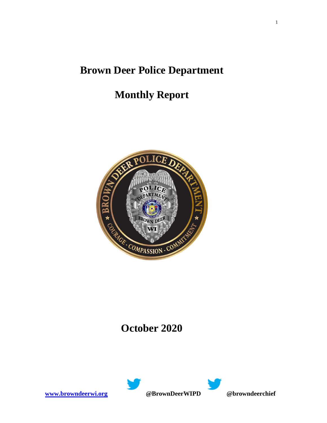# **Brown Deer Police Department**

# **Monthly Report**



## **October 2020**



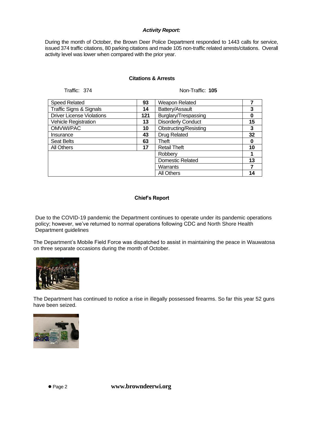#### *Activity Report:*

During the month of October, the Brown Deer Police Department responded to 1443 calls for service, issued 374 traffic citations, 80 parking citations and made 105 non-traffic related arrests/citations. Overall activity level was lower when compared with the prior year.

#### **Citations & Arrests**

Traffic: 374 Non-Traffic: **105**

| <b>Speed Related</b>               | 93  | Weapon Related            |    |
|------------------------------------|-----|---------------------------|----|
| <b>Traffic Signs &amp; Signals</b> | 14  | Battery/Assault           |    |
| <b>Driver License Violations</b>   | 121 | Burglary/Trespassing      |    |
| Vehicle Registration               | 13  | <b>Disorderly Conduct</b> | 15 |
| OMVWI/PAC                          | 10  | Obstructing/Resisting     | 3  |
| Insurance                          | 43  | <b>Drug Related</b>       | 32 |
| <b>Seat Belts</b>                  | 63  | Theft                     |    |
| All Others                         | 17  | <b>Retail Theft</b>       | 10 |
|                                    |     | Robbery                   |    |
|                                    |     | <b>Domestic Related</b>   | 13 |
|                                    |     | Warrants                  |    |
|                                    |     | <b>All Others</b>         | 14 |

#### **Chief's Report**

Due to the COVID-19 pandemic the Department continues to operate under its pandemic operations policy; however, we've returned to normal operations following CDC and North Shore Health Department guidelines

The Department's Mobile Field Force was dispatched to assist in maintaining the peace in Wauwatosa on three separate occasions during the month of October.



The Department has continued to notice a rise in illegally possessed firearms. So far this year 52 guns have been seized.



⚫ Page 2 **www.browndeerwi.org**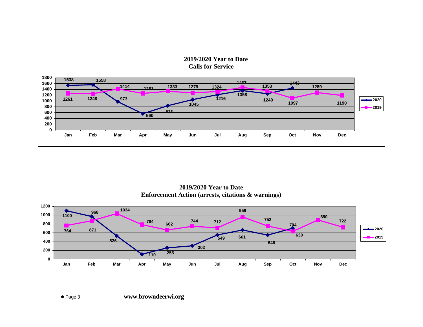### **2019/2020 Year to Date Calls for Service**



**2019/2020 Year to Date Enforcement Action (arrests, citations & warnings)**

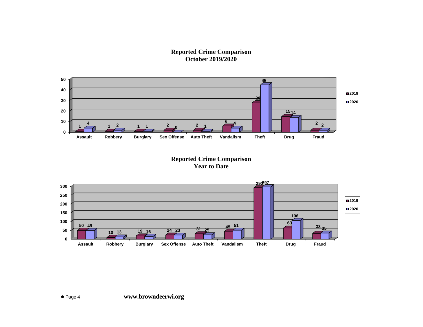### **Reported Crime Comparison October 2019/2020**



## **Reported Crime Comparison Year to Date**

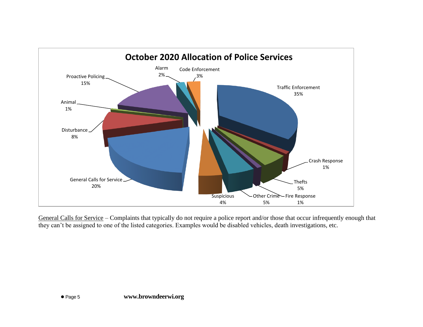

General Calls for Service – Complaints that typically do not require a police report and/or those that occur infrequently enough that they can't be assigned to one of the listed categories. Examples would be disabled vehicles, death investigations, etc.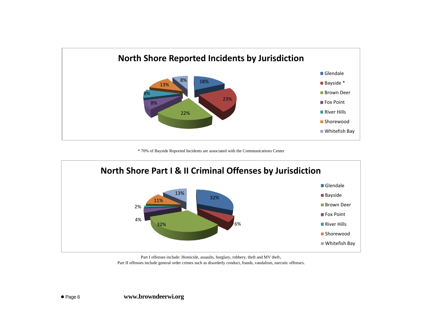

\* 70% of Bayside Reported Incidents are associated with the Communications Center



Part I offenses include: Homicide, assaults, burglary, robbery, theft and MV theft. Part II offenses include general order crimes such as disorderly conduct, frauds, vandalism, narcotic offenses.